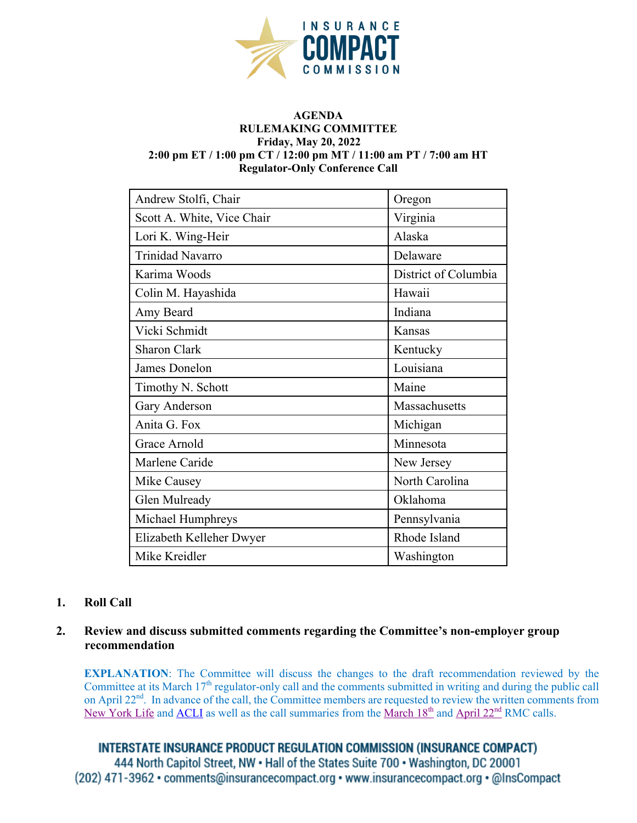

#### **AGENDA RULEMAKING COMMITTEE Friday, May 20, 2022 2:00 pm ET / 1:00 pm CT / 12:00 pm MT / 11:00 am PT / 7:00 am HT Regulator-Only Conference Call**

| Andrew Stolfi, Chair       | Oregon               |
|----------------------------|----------------------|
| Scott A. White, Vice Chair | Virginia             |
| Lori K. Wing-Heir          | Alaska               |
| <b>Trinidad Navarro</b>    | Delaware             |
| Karima Woods               | District of Columbia |
| Colin M. Hayashida         | Hawaii               |
| Amy Beard                  | Indiana              |
| Vicki Schmidt              | Kansas               |
| <b>Sharon Clark</b>        | Kentucky             |
| James Donelon              | Louisiana            |
| Timothy N. Schott          | Maine                |
| Gary Anderson              | Massachusetts        |
| Anita G. Fox               | Michigan             |
| Grace Arnold               | Minnesota            |
| Marlene Caride             | New Jersey           |
| Mike Causey                | North Carolina       |
| Glen Mulready              | Oklahoma             |
| Michael Humphreys          | Pennsylvania         |
| Elizabeth Kelleher Dwyer   | Rhode Island         |
| Mike Kreidler              | Washington           |

# **1. Roll Call**

## **2. Review and discuss submitted comments regarding the Committee's non-employer group recommendation**

**EXPLANATION:** The Committee will discuss the changes to the draft recommendation reviewed by the Committee at its March 17<sup>th</sup> regulator-only call and the comments submitted in writing and during the public call on April 22<sup>nd</sup>. In advance of the call, the Committee members are requested to review the written comments from [New York Life](https://www.insurancecompact.org/sites/default/files/documents/NYL%20-%20IIPRC%20Group%20Standards.pdf) and [ACLI](https://www.insurancecompact.org/sites/default/files/documents/ACLI%20letter%20to%20Compact%20on%20Non-Employer%20Groups%204-20-22.pdf) as well as the call summaries from the [March 18](https://www.insurancecompact.org/sites/default/files/documents/RMC%20Call%20Summary%2022-03-18.pdf)<sup>th</sup> and April 22<sup>nd</sup> RMC calls.

**INTERSTATE INSURANCE PRODUCT REGULATION COMMISSION (INSURANCE COMPACT)** 444 North Capitol Street, NW . Hall of the States Suite 700 . Washington, DC 20001 (202) 471-3962 • comments@insurancecompact.org • www.insurancecompact.org • @InsCompact